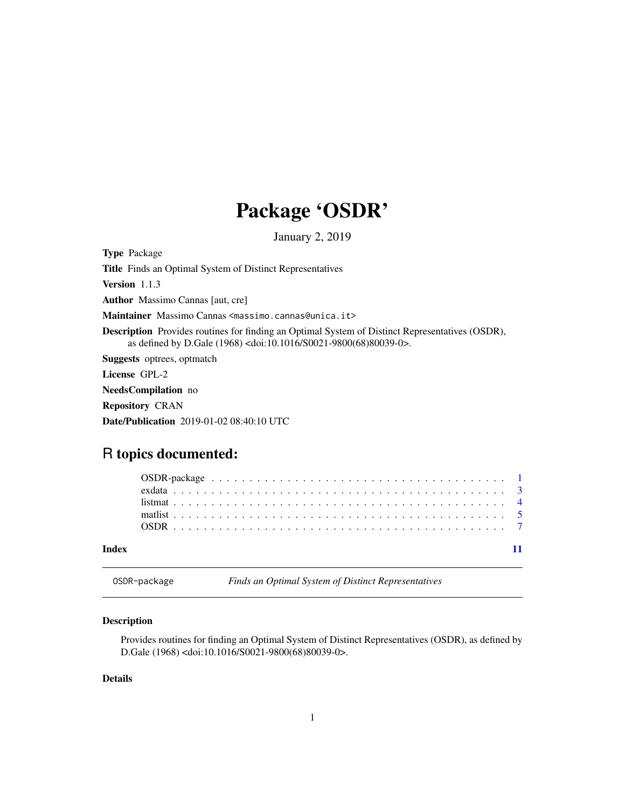## Package 'OSDR'

January 2, 2019

<span id="page-0-1"></span><span id="page-0-0"></span>Type Package Title Finds an Optimal System of Distinct Representatives Version 1.1.3 Author Massimo Cannas [aut, cre] Maintainer Massimo Cannas <massimo.cannas@unica.it> Description Provides routines for finding an Optimal System of Distinct Representatives (OSDR), as defined by D.Gale (1968) <doi:10.1016/S0021-9800(68)80039-0>. Suggests optrees, optmatch License GPL-2 NeedsCompilation no Repository CRAN Date/Publication 2019-01-02 08:40:10 UTC

## R topics documented:

| Indev |  |  |  |  |  |  |  |  |  |  |  |  |  |  |  |  |  |
|-------|--|--|--|--|--|--|--|--|--|--|--|--|--|--|--|--|--|

## Description

Provides routines for finding an Optimal System of Distinct Representatives (OSDR), as defined by D.Gale (1968) <doi:10.1016/S0021-9800(68)80039-0>.

OSDR-package *Finds an Optimal System of Distinct Representatives*

#### Details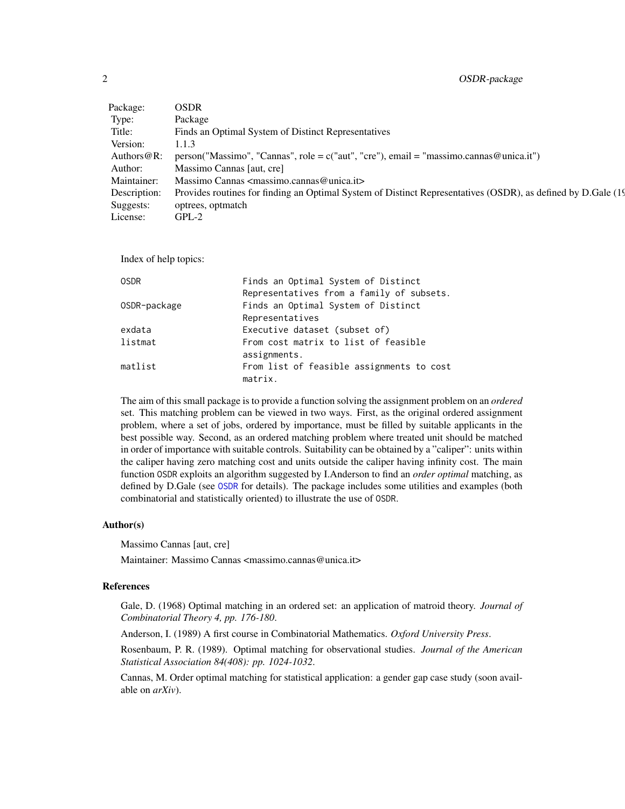<span id="page-1-0"></span>

| Package:       | OSDR                                                                                                          |
|----------------|---------------------------------------------------------------------------------------------------------------|
| Type:          | Package                                                                                                       |
| Title:         | Finds an Optimal System of Distinct Representatives                                                           |
| Version:       | 1.1.3                                                                                                         |
| Authors $@R$ : | person("Massimo", "Cannas", role = $c("aut", "cre")$ , email = "massimo.cannas@unica.it")                     |
| Author:        | Massimo Cannas [aut. cre]                                                                                     |
| Maintainer:    | Massimo Cannas $\langle$ massimo.cannas@unica.it>                                                             |
| Description:   | Provides routines for finding an Optimal System of Distinct Representatives (OSDR), as defined by D.Gale (19) |
| Suggests:      | optrees, optmatch                                                                                             |
| License:       | $GPL-2$                                                                                                       |
|                |                                                                                                               |

Index of help topics:

| Finds an Optimal System of Distinct       |
|-------------------------------------------|
| Representatives from a family of subsets. |
| Finds an Optimal System of Distinct       |
| Representatives                           |
| Executive dataset (subset of)             |
| From cost matrix to list of feasible      |
| assignments.                              |
| From list of feasible assignments to cost |
| matrix.                                   |
|                                           |

The aim of this small package is to provide a function solving the assignment problem on an *ordered* set. This matching problem can be viewed in two ways. First, as the original ordered assignment problem, where a set of jobs, ordered by importance, must be filled by suitable applicants in the best possible way. Second, as an ordered matching problem where treated unit should be matched in order of importance with suitable controls. Suitability can be obtained by a "caliper": units within the caliper having zero matching cost and units outside the caliper having infinity cost. The main function OSDR exploits an algorithm suggested by I.Anderson to find an *order optimal* matching, as defined by D.Gale (see [OSDR](#page-6-1) for details). The package includes some utilities and examples (both combinatorial and statistically oriented) to illustrate the use of OSDR.

#### Author(s)

Massimo Cannas [aut, cre]

Maintainer: Massimo Cannas <massimo.cannas@unica.it>

#### References

Gale, D. (1968) Optimal matching in an ordered set: an application of matroid theory. *Journal of Combinatorial Theory 4, pp. 176-180*.

Anderson, I. (1989) A first course in Combinatorial Mathematics. *Oxford University Press*.

Rosenbaum, P. R. (1989). Optimal matching for observational studies. *Journal of the American Statistical Association 84(408): pp. 1024-1032*.

Cannas, M. Order optimal matching for statistical application: a gender gap case study (soon available on *arXiv*).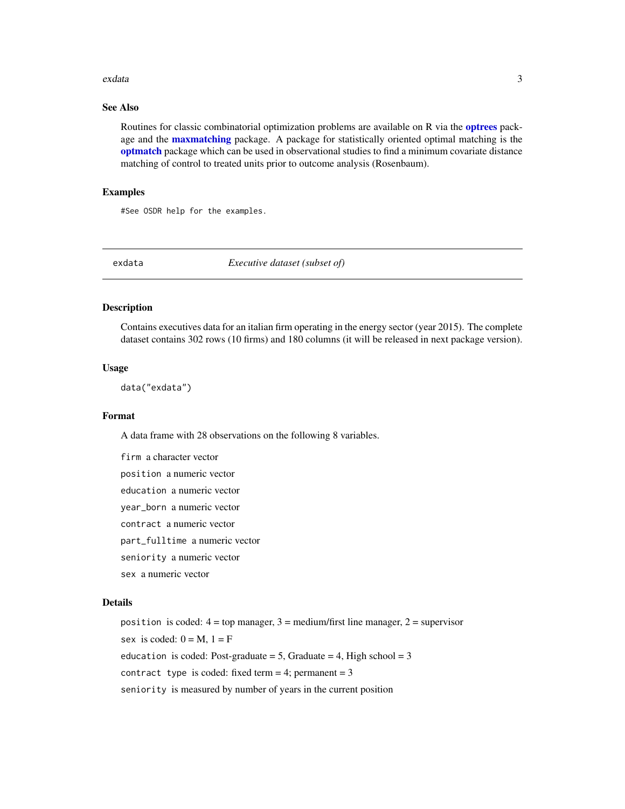#### <span id="page-2-0"></span>exdata 3

## See Also

Routines for classic combinatorial optimization problems are available on R via the **[optrees](#page-0-1)** package and the **[maxmatching](#page-0-1)** package. A package for statistically oriented optimal matching is the [optmatch](#page-0-1) package which can be used in observational studies to find a minimum covariate distance matching of control to treated units prior to outcome analysis (Rosenbaum).

#### Examples

#See OSDR help for the examples.

exdata *Executive dataset (subset of)*

#### Description

Contains executives data for an italian firm operating in the energy sector (year 2015). The complete dataset contains 302 rows (10 firms) and 180 columns (it will be released in next package version).

#### Usage

data("exdata")

#### Format

A data frame with 28 observations on the following 8 variables.

firm a character vector

position a numeric vector

education a numeric vector

year\_born a numeric vector

contract a numeric vector

part\_fulltime a numeric vector

seniority a numeric vector

sex a numeric vector

#### Details

position is coded:  $4 = top$  manager,  $3 = medium/first$  line manager,  $2 = supervisor$ sex is coded:  $0 = M$ ,  $1 = F$ education is coded: Post-graduate = 5, Graduate = 4, High school =  $3$ contract type is coded: fixed term = 4; permanent =  $3$ seniority is measured by number of years in the current position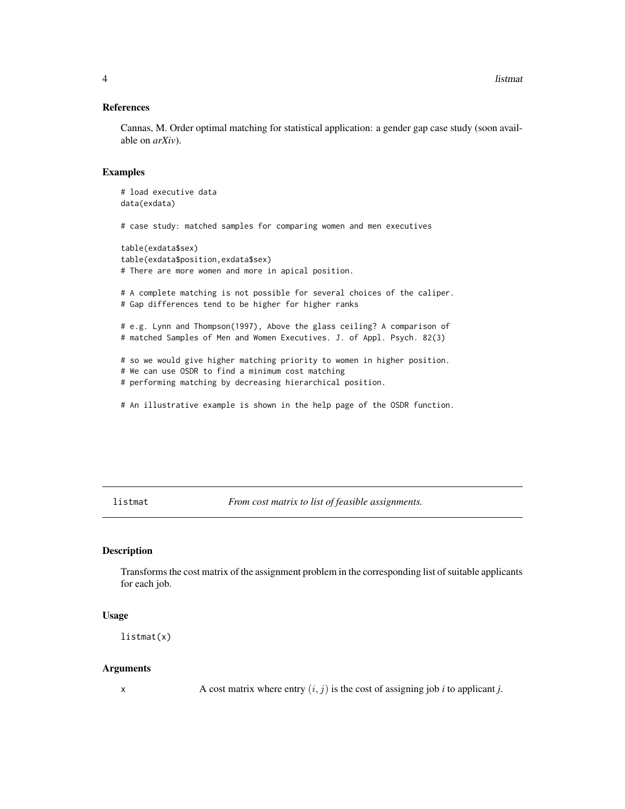<span id="page-3-0"></span>**4** listmative control of the control of the control of the control of the control of the control of the control of the control of the control of the control of the control of the control of the control of the control of t

#### References

Cannas, M. Order optimal matching for statistical application: a gender gap case study (soon available on *arXiv*).

## Examples

# load executive data data(exdata)

# case study: matched samples for comparing women and men executives

table(exdata\$sex) table(exdata\$position,exdata\$sex) # There are more women and more in apical position.

# A complete matching is not possible for several choices of the caliper. # Gap differences tend to be higher for higher ranks

# e.g. Lynn and Thompson(1997), Above the glass ceiling? A comparison of # matched Samples of Men and Women Executives. J. of Appl. Psych. 82(3)

# so we would give higher matching priority to women in higher position.

# We can use OSDR to find a minimum cost matching

# performing matching by decreasing hierarchical position.

# An illustrative example is shown in the help page of the OSDR function.

<span id="page-3-1"></span>listmat *From cost matrix to list of feasible assignments.*

## Description

Transforms the cost matrix of the assignment problem in the corresponding list of suitable applicants for each job.

#### Usage

listmat(x)

#### Arguments

x A cost matrix where entry  $(i, j)$  is the cost of assigning job *i* to applicant *j*.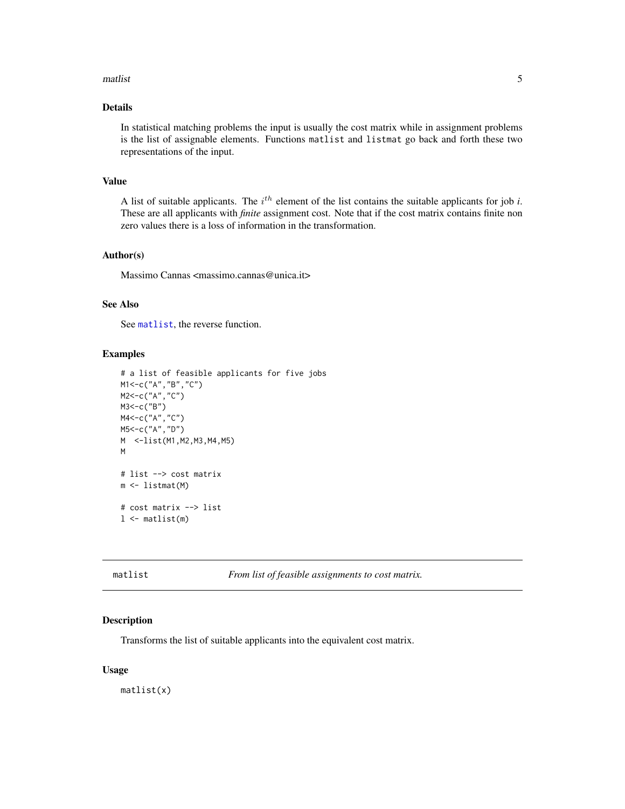#### <span id="page-4-0"></span>matlist 5

## Details

In statistical matching problems the input is usually the cost matrix while in assignment problems is the list of assignable elements. Functions matlist and listmat go back and forth these two representations of the input.

## Value

A list of suitable applicants. The  $i<sup>th</sup>$  element of the list contains the suitable applicants for job *i*. These are all applicants with *finite* assignment cost. Note that if the cost matrix contains finite non zero values there is a loss of information in the transformation.

#### Author(s)

Massimo Cannas <massimo.cannas@unica.it>

#### See Also

See [matlist](#page-4-1), the reverse function.

## Examples

```
# a list of feasible applicants for five jobs
M1<-c("A","B","C")
M2<-c("A","C")
M3<-c("B")
M4<-c("A","C")
M5<-c("A","D")
M <-list(M1,M2,M3,M4,M5)
M
# list --> cost matrix
m <- listmat(M)
# cost matrix --> list
1 <- matlist(m)
```
<span id="page-4-1"></span>matlist *From list of feasible assignments to cost matrix.*

#### Description

Transforms the list of suitable applicants into the equivalent cost matrix.

#### Usage

matlist(x)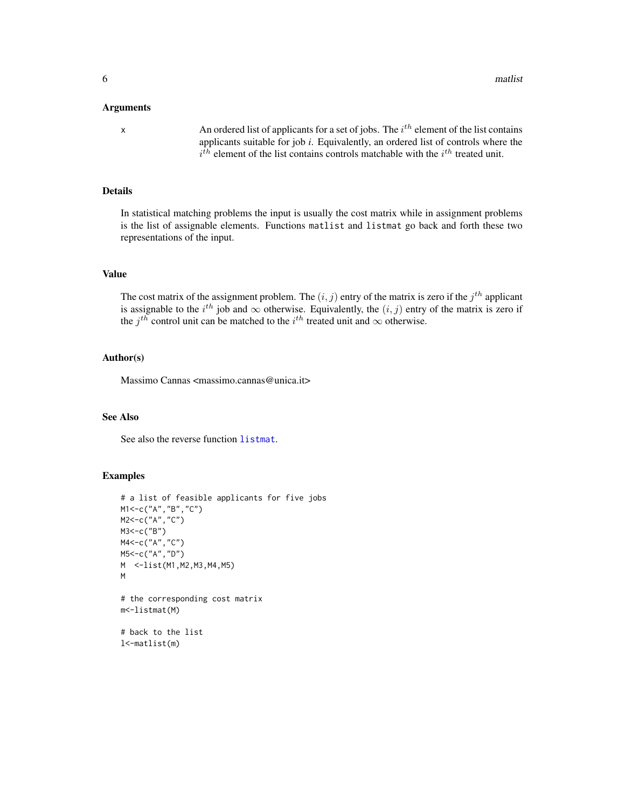#### <span id="page-5-0"></span>Arguments

x An ordered list of applicants for a set of jobs. The  $i^{th}$  element of the list contains applicants suitable for job *i*. Equivalently, an ordered list of controls where the  $i^{th}$  element of the list contains controls matchable with the  $i^{th}$  treated unit.

## Details

In statistical matching problems the input is usually the cost matrix while in assignment problems is the list of assignable elements. Functions matlist and listmat go back and forth these two representations of the input.

#### Value

The cost matrix of the assignment problem. The  $(i, j)$  entry of the matrix is zero if the  $j<sup>th</sup>$  applicant is assignable to the  $i^{th}$  job and  $\infty$  otherwise. Equivalently, the  $(i, j)$  entry of the matrix is zero if the  $j^{th}$  control unit can be matched to the  $i^{th}$  treated unit and  $\infty$  otherwise.

#### Author(s)

Massimo Cannas <massimo.cannas@unica.it>

## See Also

See also the reverse function [listmat](#page-3-1).

#### Examples

```
# a list of feasible applicants for five jobs
M1<-c("A","B","C")
M2<-c("A","C")
M3<-c("B")
M4<-c("A","C")
M5<-c("A","D")
M <-list(M1,M2,M3,M4,M5)
M
# the corresponding cost matrix
m<-listmat(M)
# back to the list
```
l<-matlist(m)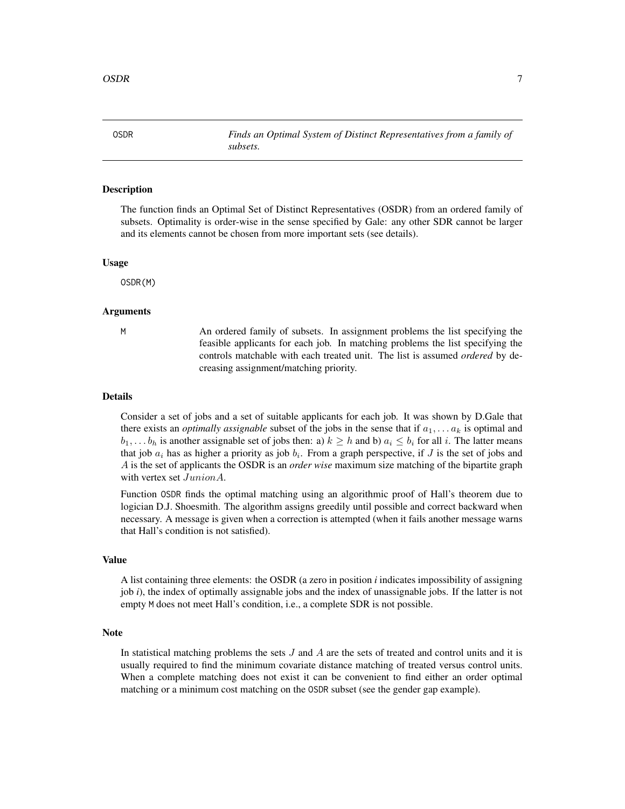<span id="page-6-1"></span><span id="page-6-0"></span>OSDR *Finds an Optimal System of Distinct Representatives from a family of subsets.*

#### Description

The function finds an Optimal Set of Distinct Representatives (OSDR) from an ordered family of subsets. Optimality is order-wise in the sense specified by Gale: any other SDR cannot be larger and its elements cannot be chosen from more important sets (see details).

#### Usage

OSDR(M)

#### Arguments

M An ordered family of subsets. In assignment problems the list specifying the feasible applicants for each job. In matching problems the list specifying the controls matchable with each treated unit. The list is assumed *ordered* by decreasing assignment/matching priority.

#### Details

Consider a set of jobs and a set of suitable applicants for each job. It was shown by D.Gale that there exists an *optimally assignable* subset of the jobs in the sense that if  $a_1, \ldots, a_k$  is optimal and  $b_1, \ldots, b_h$  is another assignable set of jobs then: a)  $k \geq h$  and b)  $a_i \leq b_i$  for all i. The latter means that job  $a_i$  has as higher a priority as job  $b_i$ . From a graph perspective, if J is the set of jobs and A is the set of applicants the OSDR is an *order wise* maximum size matching of the bipartite graph with vertex set  $JunionA$ .

Function OSDR finds the optimal matching using an algorithmic proof of Hall's theorem due to logician D.J. Shoesmith. The algorithm assigns greedily until possible and correct backward when necessary. A message is given when a correction is attempted (when it fails another message warns that Hall's condition is not satisfied).

#### Value

A list containing three elements: the OSDR (a zero in position *i* indicates impossibility of assigning job *i*), the index of optimally assignable jobs and the index of unassignable jobs. If the latter is not empty M does not meet Hall's condition, i.e., a complete SDR is not possible.

#### Note

In statistical matching problems the sets  $J$  and  $A$  are the sets of treated and control units and it is usually required to find the minimum covariate distance matching of treated versus control units. When a complete matching does not exist it can be convenient to find either an order optimal matching or a minimum cost matching on the OSDR subset (see the gender gap example).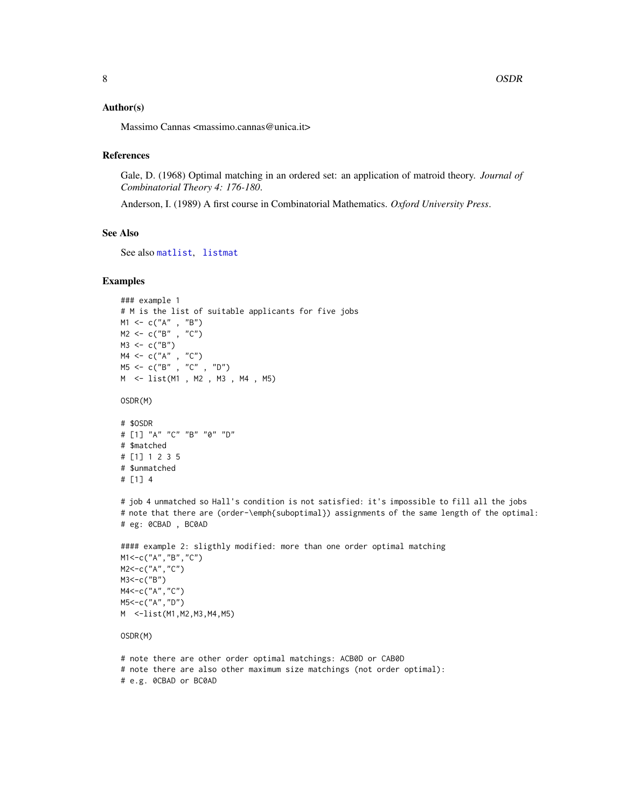#### <span id="page-7-0"></span>Author(s)

Massimo Cannas <massimo.cannas@unica.it>

#### References

Gale, D. (1968) Optimal matching in an ordered set: an application of matroid theory. *Journal of Combinatorial Theory 4: 176-180*.

Anderson, I. (1989) A first course in Combinatorial Mathematics. *Oxford University Press*.

#### See Also

See also [matlist](#page-4-1), [listmat](#page-3-1)

#### Examples

```
### example 1
# M is the list of suitable applicants for five jobs
M1 <- c("A" , "B")
M2 <- c("B" , "C")
M3 < -c("B")M4 <- c("A" , "C")
M5 <- c("B" , "C" , "D")
M <- list(M1 , M2 , M3 , M4 , M5)
OSDR(M)
# $OSDR
# [1] "A" "C" "B" "0" "D"
# $matched
# [1] 1 2 3 5
# $unmatched
# [1] 4
# job 4 unmatched so Hall's condition is not satisfied: it's impossible to fill all the jobs
# note that there are (order-\emph{suboptimal}) assignments of the same length of the optimal:
# eg: 0CBAD , BC0AD
#### example 2: sligthly modified: more than one order optimal matching
M1<-c("A","B","C")
M2<-c("A","C")
M3<-c("B")
M4<-c("A","C")
M5<-c("A","D")
M <-list(M1,M2,M3,M4,M5)
OSDR(M)
# note there are other order optimal matchings: ACB0D or CAB0D
```
<sup>#</sup> note there are also other maximum size matchings (not order optimal):

<sup>#</sup> e.g. 0CBAD or BC0AD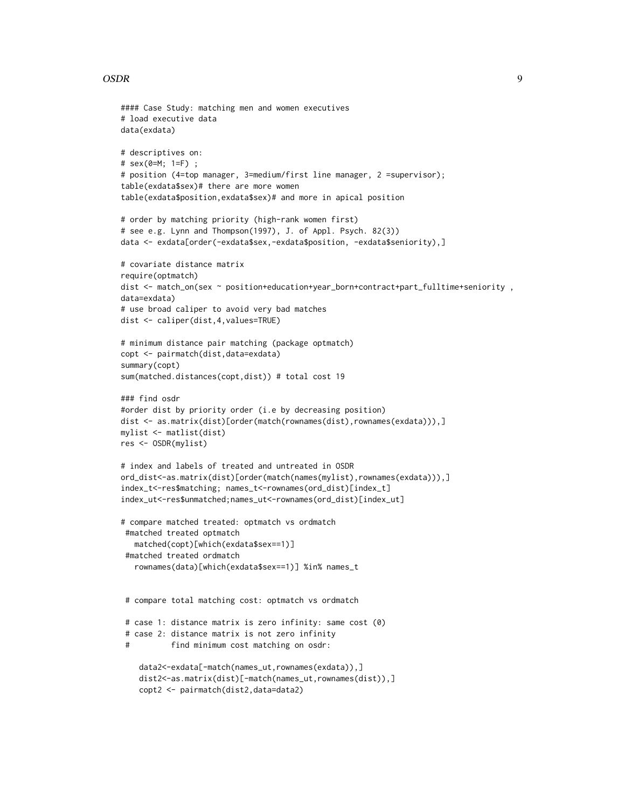#### $OSDR$  9

```
#### Case Study: matching men and women executives
# load executive data
data(exdata)
# descriptives on:
# sex(0=M; 1=F) ;
# position (4=top manager, 3=medium/first line manager, 2 =supervisor);
table(exdata$sex)# there are more women
table(exdata$position,exdata$sex)# and more in apical position
# order by matching priority (high-rank women first)
# see e.g. Lynn and Thompson(1997), J. of Appl. Psych. 82(3))
data <- exdata[order(-exdata$sex,-exdata$position, -exdata$seniority),]
# covariate distance matrix
require(optmatch)
dist <- match_on(sex ~ position+education+year_born+contract+part_fulltime+seniority ,
data=exdata)
# use broad caliper to avoid very bad matches
dist <- caliper(dist,4,values=TRUE)
# minimum distance pair matching (package optmatch)
copt <- pairmatch(dist,data=exdata)
summary(copt)
sum(matched.distances(copt,dist)) # total cost 19
### find osdr
#order dist by priority order (i.e by decreasing position)
dist <- as.matrix(dist)[order(match(rownames(dist),rownames(exdata))),]
mylist <- matlist(dist)
res <- OSDR(mylist)
# index and labels of treated and untreated in OSDR
ord_dist<-as.matrix(dist)[order(match(names(mylist),rownames(exdata))),]
index_t<-res$matching; names_t<-rownames(ord_dist)[index_t]
index_ut<-res$unmatched;names_ut<-rownames(ord_dist)[index_ut]
# compare matched treated: optmatch vs ordmatch
 #matched treated optmatch
   matched(copt)[which(exdata$sex==1)]
 #matched treated ordmatch
   rownames(data)[which(exdata$sex==1)] %in% names_t
 # compare total matching cost: optmatch vs ordmatch
 # case 1: distance matrix is zero infinity: same cost (0)
 # case 2: distance matrix is not zero infinity
 # find minimum cost matching on osdr:
    data2<-exdata[-match(names_ut,rownames(exdata)),]
    dist2<-as.matrix(dist)[-match(names_ut,rownames(dist)),]
    copt2 <- pairmatch(dist2,data=data2)
```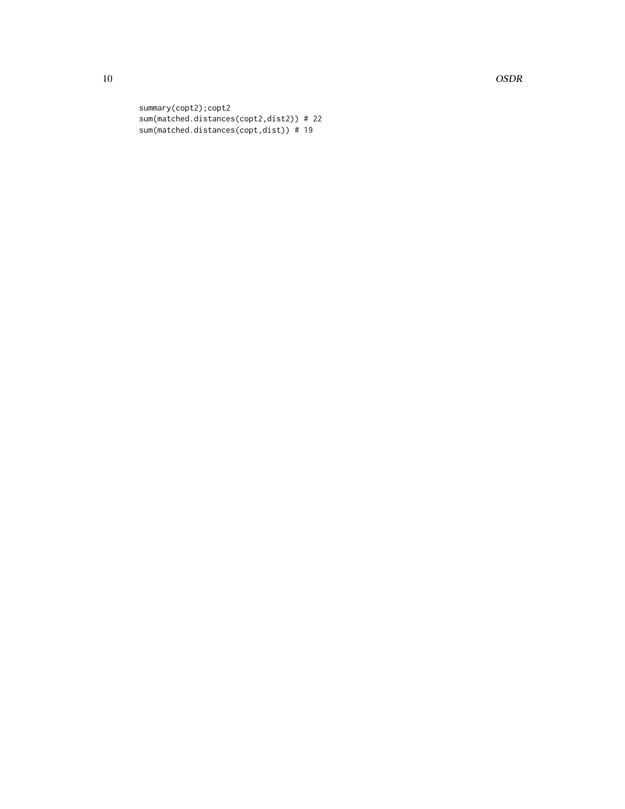10 OSDR

summary(copt2);copt2 sum(matched.distances(copt2,dist2)) # 22 sum(matched.distances(copt,dist)) # 19